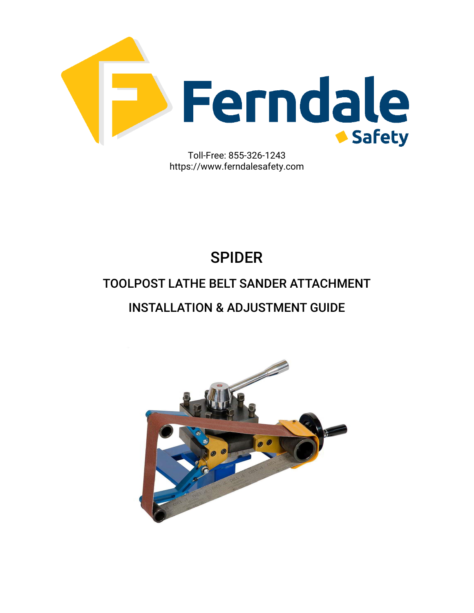

https://www.ferndalesafety.com

# SPIDER

#### TOOLPOST LATHE BELT SANDER ATTACHMENT

#### INSTALLATION & ADJUSTMENT GUIDE

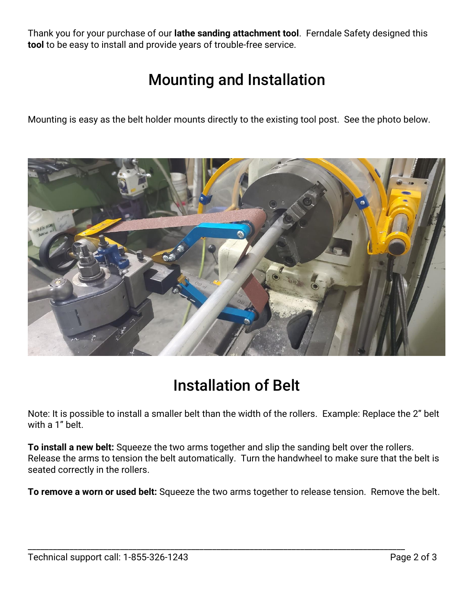Thank you for your purchase of our **lathe sanding attachment tool**.Ferndale Safety designed this **tool** to be easy to install and provide years of trouble-free service.

### Mounting and Installation

Mounting is easy as the belt holder mounts directly to the existing tool post. See the photo below.



## Installation of Belt

Note: It is possible to install a smaller belt than the width of the rollers. Example: Replace the 2" belt with a 1" belt.

**To install a new belt:** Squeeze the two arms together and slip the sanding belt over the rollers. Release the arms to tension the belt automatically. Turn the handwheel to make sure that the belt is seated correctly in the rollers.

**To remove a worn or used belt:** Squeeze the two arms together to release tension. Remove the belt.

\_\_\_\_\_\_\_\_\_\_\_\_\_\_\_\_\_\_\_\_\_\_\_\_\_\_\_\_\_\_\_\_\_\_\_\_\_\_\_\_\_\_\_\_\_\_\_\_\_\_\_\_\_\_\_\_\_\_\_\_\_\_\_\_\_\_\_\_\_\_\_\_\_\_\_\_\_\_\_\_\_\_\_\_\_\_\_\_\_\_